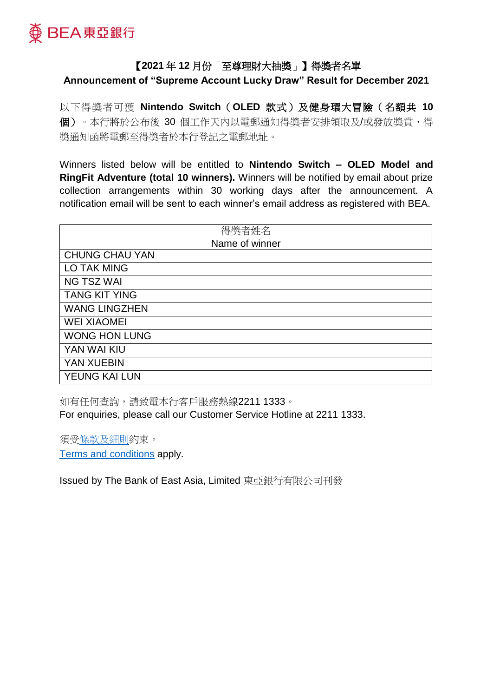

## 【**2021** 年 **12** 月份「至尊理財大抽獎」】得獎者名單

**Announcement of "Supreme Account Lucky Draw" Result for December 2021**

以下得獎者可獲 **Nintendo Switch**(**OLED** 款式)及健身環大冒險(名額共 **10** 個)。本行將於公布後 30 個工作天內以電郵通知得獎者安排領取及/或發放獎賞,得 獎通知函將電郵至得獎者於本行登記之電郵地址。

Winners listed below will be entitled to **Nintendo Switch – OLED Model and RingFit Adventure (total 10 winners).** Winners will be notified by email about prize collection arrangements within 30 working days after the announcement. A notification email will be sent to each winner's email address as registered with BEA.

| 得獎者姓名                 |
|-----------------------|
| Name of winner        |
| <b>CHUNG CHAU YAN</b> |
| <b>LO TAK MING</b>    |
| <b>NG TSZ WAI</b>     |
| <b>TANG KIT YING</b>  |
| <b>WANG LINGZHEN</b>  |
| <b>WEI XIAOMEI</b>    |
| <b>WONG HON LUNG</b>  |
| YAN WAI KIU           |
| YAN XUEBIN            |
| YEUNG KAI LUN         |

如有任何查詢,請致電本行客戶服務熱線2211 1333。 For enquiries, please call our Customer Service Hotline at 2211 1333.

須[受條款及細則約](https://www.hkbea.com/pdf/tc/tnc_Lucky_Draw_202111.pdf)束。 [Terms and conditions](https://www.hkbea.com/pdf/en/tnc_Lucky_Draw_202111.pdf) apply.

Issued by The Bank of East Asia, Limited 東亞銀行有限公司刊發